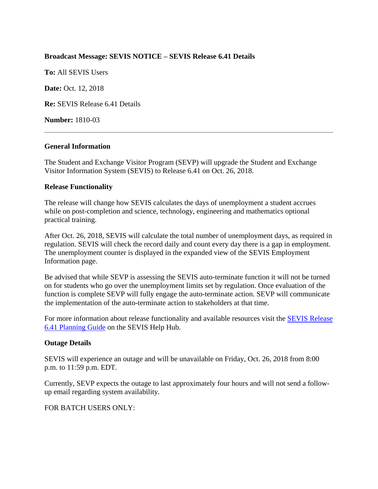# **Broadcast Message: SEVIS NOTICE – SEVIS Release 6.41 Details**

**To:** All SEVIS Users

**Date: Oct. 12, 2018** 

**Re:** SEVIS Release 6.41 Details

**Number:** 1810-03

### **General Information**

The Student and Exchange Visitor Program (SEVP) will upgrade the Student and Exchange Visitor Information System (SEVIS) to Release 6.41 on Oct. 26, 2018.

### **Release Functionality**

The release will change how SEVIS calculates the days of unemployment a student accrues while on post-completion and science, technology, engineering and mathematics optional practical training.

After Oct. 26, 2018, SEVIS will calculate the total number of unemployment days, as required in regulation. SEVIS will check the record daily and count every day there is a gap in employment. The unemployment counter is displayed in the expanded view of the SEVIS Employment Information page.

Be advised that while SEVP is assessing the SEVIS auto-terminate function it will not be turned on for students who go over the unemployment limits set by regulation. Once evaluation of the function is complete SEVP will fully engage the auto-terminate action. SEVP will communicate the implementation of the auto-terminate action to stakeholders at that time.

For more information about release functionality and available resources visit the [SEVIS Release](https://studyinthestates.dhs.gov/sevis-help-hub/learn-more/sevis-enhancements/sevis-release-641-planning-guide)  [6.41 Planning Guide](https://studyinthestates.dhs.gov/sevis-help-hub/learn-more/sevis-enhancements/sevis-release-641-planning-guide) on the SEVIS Help Hub.

### **Outage Details**

SEVIS will experience an outage and will be unavailable on Friday, Oct. 26, 2018 from 8:00 p.m. to 11:59 p.m. EDT.

Currently, SEVP expects the outage to last approximately four hours and will not send a followup email regarding system availability.

### FOR BATCH USERS ONLY: